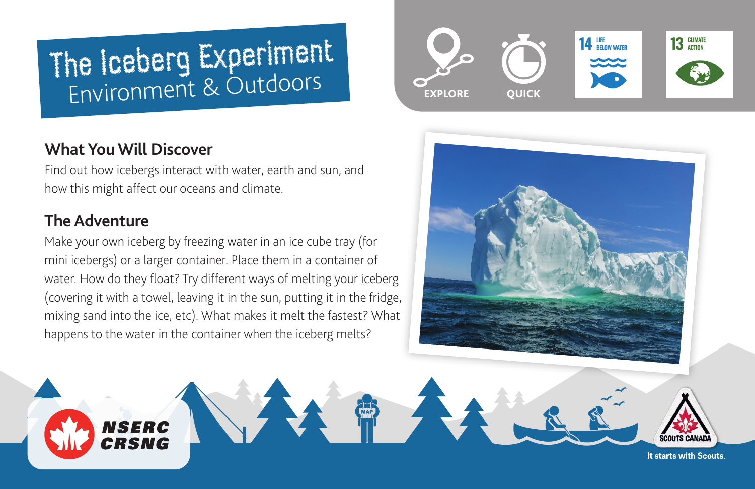# The Iceberg Experiment Environment & Outdoors

# **What You Will Discover**

**NSERC** CRSNG

Find out how icebergs interact with water, earth and sun, and how this might affect our oceans and climate.

## **The Adventure**

Make your own iceberg by freezing water in an ice cube tray (for mini icebergs) or a larger container. Place them in a container of water. How do they float? Try different ways of melting your iceberg (covering it with a towel, leaving it in the sun, putting it in the fridge, mixing sand into the ice, etc). What makes it melt the fastest? What happens to the water in the container when the iceberg melts?





It starts with Scouts.